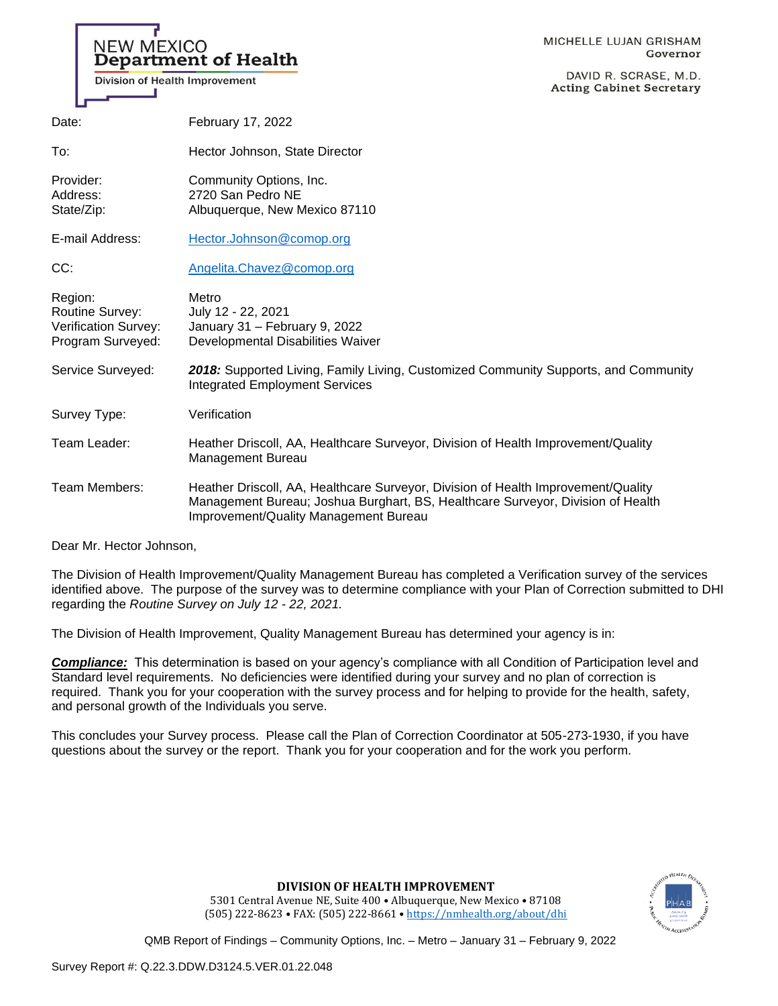| <b>NEW MEXICO</b><br>Division of Health Improvement                            | <b>Department of Health</b>                                                                                                                                          | MICHELLE LUJAN GRISHAM<br>Governor<br>DAVID R. SCRASE, M.D.<br><b>Acting Cabinet Secretary</b> |
|--------------------------------------------------------------------------------|----------------------------------------------------------------------------------------------------------------------------------------------------------------------|------------------------------------------------------------------------------------------------|
| Date:                                                                          | February 17, 2022                                                                                                                                                    |                                                                                                |
| To:                                                                            | Hector Johnson, State Director                                                                                                                                       |                                                                                                |
| Provider:<br>Address:<br>State/Zip:                                            | Community Options, Inc.<br>2720 San Pedro NE<br>Albuquerque, New Mexico 87110                                                                                        |                                                                                                |
| E-mail Address:                                                                | Hector.Johnson@comop.org                                                                                                                                             |                                                                                                |
| CC:                                                                            | Angelita.Chavez@comop.org                                                                                                                                            |                                                                                                |
| Region:<br><b>Routine Survey:</b><br>Verification Survey:<br>Program Surveyed: | Metro<br>July 12 - 22, 2021<br>January 31 - February 9, 2022<br>Developmental Disabilities Waiver                                                                    |                                                                                                |
| Service Surveyed:                                                              | 2018: Supported Living, Family Living, Customized Community Supports, and Community<br><b>Integrated Employment Services</b>                                         |                                                                                                |
| Survey Type:                                                                   | Verification                                                                                                                                                         |                                                                                                |
| Team Leader:                                                                   | Heather Driscoll, AA, Healthcare Surveyor, Division of Health Improvement/Quality<br>Management Bureau                                                               |                                                                                                |
| Team Members:                                                                  | Heather Driscoll, AA, Healthcare Surveyor, Division of Health Improvement/Quality<br>Management Bureau; Joshua Burghart, BS, Healthcare Surveyor, Division of Health |                                                                                                |

Dear Mr. Hector Johnson,

The Division of Health Improvement/Quality Management Bureau has completed a Verification survey of the services identified above. The purpose of the survey was to determine compliance with your Plan of Correction submitted to DHI regarding the *Routine Survey on July 12 - 22, 2021.*

The Division of Health Improvement, Quality Management Bureau has determined your agency is in:

Improvement/Quality Management Bureau

*Compliance:* This determination is based on your agency's compliance with all Condition of Participation level and Standard level requirements. No deficiencies were identified during your survey and no plan of correction is required. Thank you for your cooperation with the survey process and for helping to provide for the health, safety, and personal growth of the Individuals you serve.

This concludes your Survey process. Please call the Plan of Correction Coordinator at 505-273-1930, if you have questions about the survey or the report. Thank you for your cooperation and for the work you perform.



**DIVISION OF HEALTH IMPROVEMENT**

5301 Central Avenue NE, Suite 400 • Albuquerque, New Mexico • 87108 (505) 222-8623 • FAX: (505) 222-8661 • <https://nmhealth.org/about/dhi>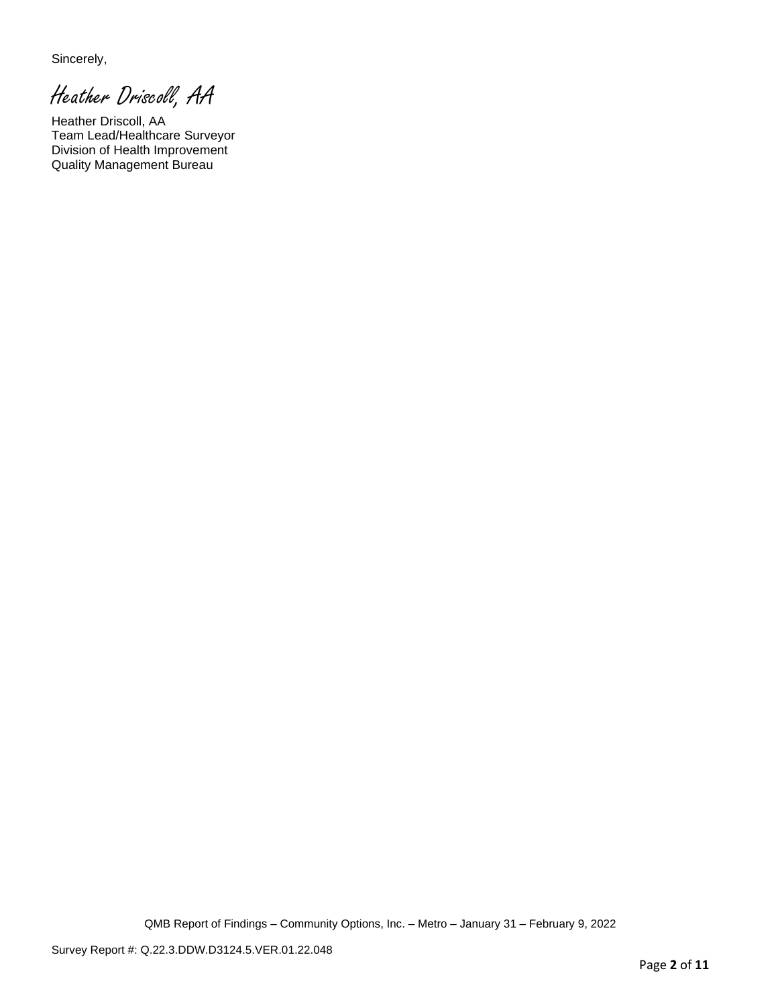Sincerely,

Heather Driscoll, AA

Heather Driscoll, AA Team Lead/Healthcare Surveyor Division of Health Improvement Quality Management Bureau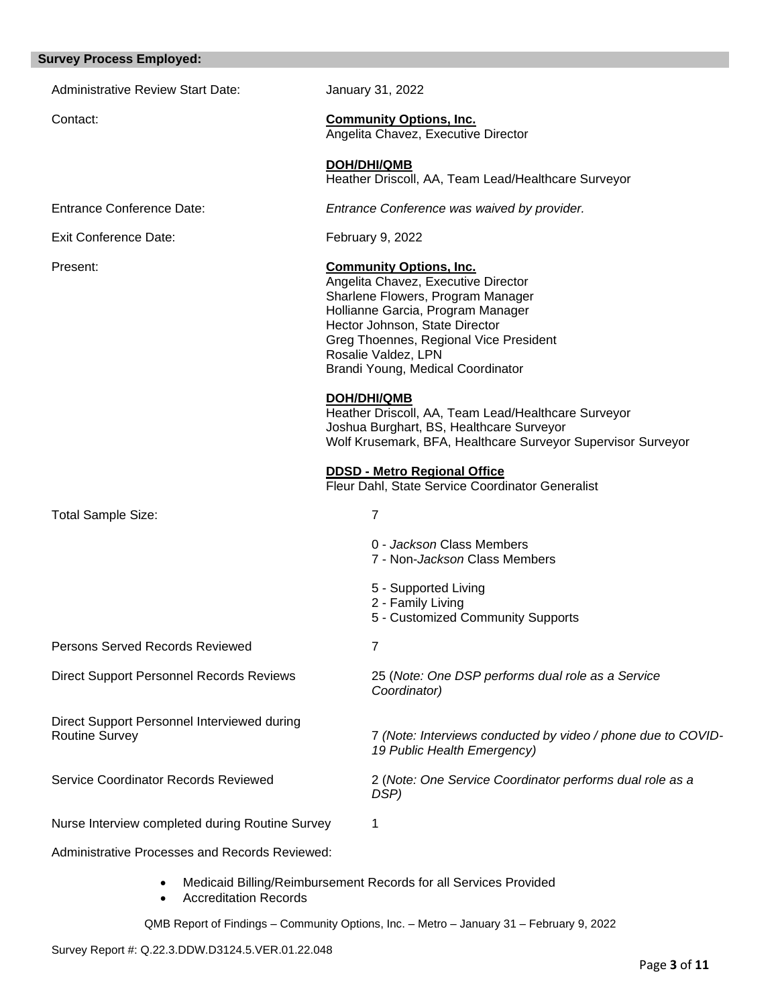# **Survey Process Employed:**

| THROUGH THROUGH                                                      |                                                                                                                                                                                                                                                                                         |                                                                                                                                                                                |  |  |
|----------------------------------------------------------------------|-----------------------------------------------------------------------------------------------------------------------------------------------------------------------------------------------------------------------------------------------------------------------------------------|--------------------------------------------------------------------------------------------------------------------------------------------------------------------------------|--|--|
| <b>Administrative Review Start Date:</b>                             |                                                                                                                                                                                                                                                                                         | January 31, 2022                                                                                                                                                               |  |  |
| Contact:                                                             |                                                                                                                                                                                                                                                                                         | <b>Community Options, Inc.</b><br>Angelita Chavez, Executive Director                                                                                                          |  |  |
|                                                                      |                                                                                                                                                                                                                                                                                         | <b>DOH/DHI/QMB</b><br>Heather Driscoll, AA, Team Lead/Healthcare Surveyor                                                                                                      |  |  |
| <b>Entrance Conference Date:</b>                                     |                                                                                                                                                                                                                                                                                         | Entrance Conference was waived by provider.                                                                                                                                    |  |  |
| <b>Exit Conference Date:</b>                                         |                                                                                                                                                                                                                                                                                         | February 9, 2022                                                                                                                                                               |  |  |
| Present:                                                             | <b>Community Options, Inc.</b><br>Angelita Chavez, Executive Director<br>Sharlene Flowers, Program Manager<br>Hollianne Garcia, Program Manager<br>Hector Johnson, State Director<br>Greg Thoennes, Regional Vice President<br>Rosalie Valdez, LPN<br>Brandi Young, Medical Coordinator |                                                                                                                                                                                |  |  |
|                                                                      |                                                                                                                                                                                                                                                                                         | DOH/DHI/QMB<br>Heather Driscoll, AA, Team Lead/Healthcare Surveyor<br>Joshua Burghart, BS, Healthcare Surveyor<br>Wolf Krusemark, BFA, Healthcare Surveyor Supervisor Surveyor |  |  |
|                                                                      |                                                                                                                                                                                                                                                                                         | <b>DDSD - Metro Regional Office</b><br>Fleur Dahl, State Service Coordinator Generalist                                                                                        |  |  |
| <b>Total Sample Size:</b>                                            |                                                                                                                                                                                                                                                                                         | $\overline{7}$                                                                                                                                                                 |  |  |
|                                                                      |                                                                                                                                                                                                                                                                                         | 0 - Jackson Class Members<br>7 - Non-Jackson Class Members                                                                                                                     |  |  |
|                                                                      |                                                                                                                                                                                                                                                                                         | 5 - Supported Living<br>2 - Family Living<br>5 - Customized Community Supports                                                                                                 |  |  |
| Persons Served Records Reviewed                                      |                                                                                                                                                                                                                                                                                         | $\overline{7}$                                                                                                                                                                 |  |  |
| <b>Direct Support Personnel Records Reviews</b>                      |                                                                                                                                                                                                                                                                                         | 25 (Note: One DSP performs dual role as a Service<br>Coordinator)                                                                                                              |  |  |
| Direct Support Personnel Interviewed during<br><b>Routine Survey</b> |                                                                                                                                                                                                                                                                                         | 7 (Note: Interviews conducted by video / phone due to COVID-<br>19 Public Health Emergency)                                                                                    |  |  |
| Service Coordinator Records Reviewed                                 |                                                                                                                                                                                                                                                                                         | 2 (Note: One Service Coordinator performs dual role as a<br>DSP)                                                                                                               |  |  |
| Nurse Interview completed during Routine Survey                      |                                                                                                                                                                                                                                                                                         | 1                                                                                                                                                                              |  |  |
| Administrative Processes and Records Reviewed:                       |                                                                                                                                                                                                                                                                                         |                                                                                                                                                                                |  |  |
|                                                                      |                                                                                                                                                                                                                                                                                         |                                                                                                                                                                                |  |  |

- Medicaid Billing/Reimbursement Records for all Services Provided
- Accreditation Records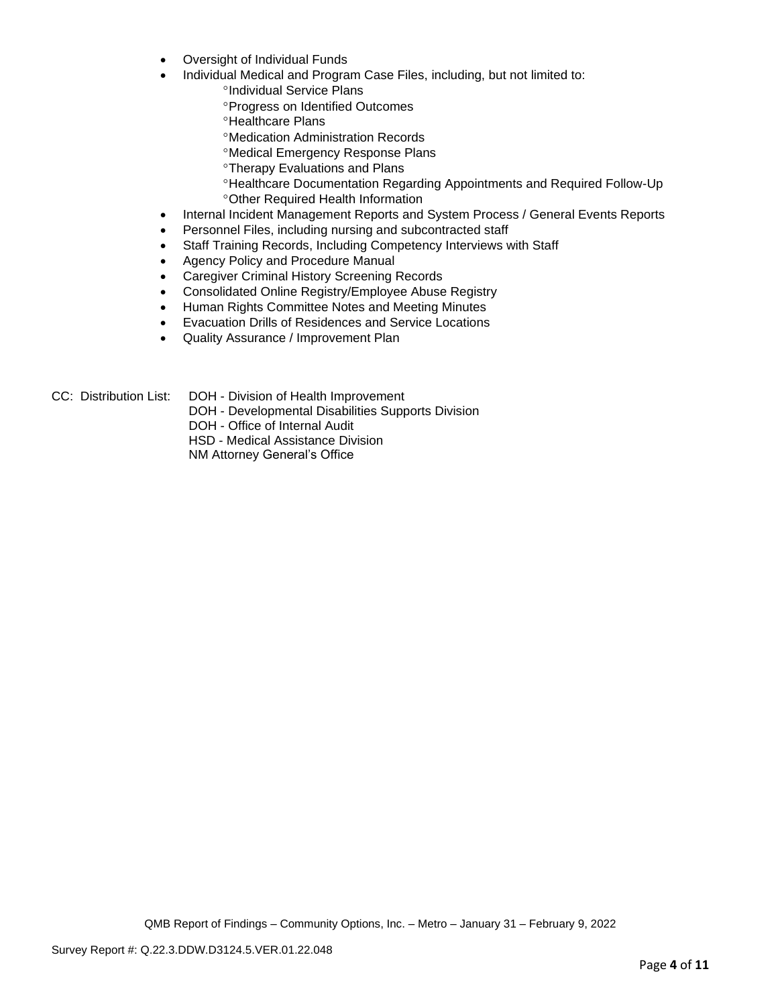- Oversight of Individual Funds
- Individual Medical and Program Case Files, including, but not limited to:
	- °Individual Service Plans
	- Progress on Identified Outcomes
	- <sup>o</sup>Healthcare Plans
	- Medication Administration Records
	- Medical Emergency Response Plans
	- **<sup>o</sup>Therapy Evaluations and Plans**
	- Healthcare Documentation Regarding Appointments and Required Follow-Up Other Required Health Information
- Internal Incident Management Reports and System Process / General Events Reports
- Personnel Files, including nursing and subcontracted staff
- Staff Training Records, Including Competency Interviews with Staff
- Agency Policy and Procedure Manual
- Caregiver Criminal History Screening Records
- Consolidated Online Registry/Employee Abuse Registry
- Human Rights Committee Notes and Meeting Minutes
- Evacuation Drills of Residences and Service Locations
- Quality Assurance / Improvement Plan

- CC: Distribution List: DOH Division of Health Improvement
	- DOH Developmental Disabilities Supports Division
	- DOH Office of Internal Audit

HSD - Medical Assistance Division

NM Attorney General's Office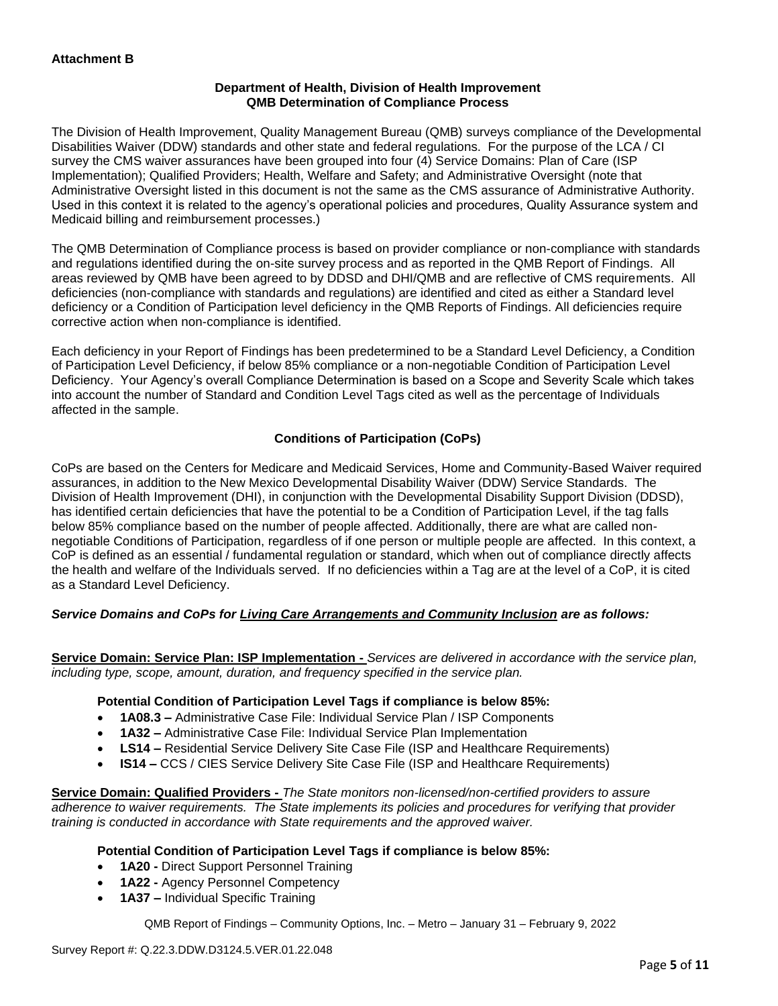## **Department of Health, Division of Health Improvement QMB Determination of Compliance Process**

The Division of Health Improvement, Quality Management Bureau (QMB) surveys compliance of the Developmental Disabilities Waiver (DDW) standards and other state and federal regulations. For the purpose of the LCA / CI survey the CMS waiver assurances have been grouped into four (4) Service Domains: Plan of Care (ISP Implementation); Qualified Providers; Health, Welfare and Safety; and Administrative Oversight (note that Administrative Oversight listed in this document is not the same as the CMS assurance of Administrative Authority. Used in this context it is related to the agency's operational policies and procedures, Quality Assurance system and Medicaid billing and reimbursement processes.)

The QMB Determination of Compliance process is based on provider compliance or non-compliance with standards and regulations identified during the on-site survey process and as reported in the QMB Report of Findings. All areas reviewed by QMB have been agreed to by DDSD and DHI/QMB and are reflective of CMS requirements. All deficiencies (non-compliance with standards and regulations) are identified and cited as either a Standard level deficiency or a Condition of Participation level deficiency in the QMB Reports of Findings. All deficiencies require corrective action when non-compliance is identified.

Each deficiency in your Report of Findings has been predetermined to be a Standard Level Deficiency, a Condition of Participation Level Deficiency, if below 85% compliance or a non-negotiable Condition of Participation Level Deficiency. Your Agency's overall Compliance Determination is based on a Scope and Severity Scale which takes into account the number of Standard and Condition Level Tags cited as well as the percentage of Individuals affected in the sample.

# **Conditions of Participation (CoPs)**

CoPs are based on the Centers for Medicare and Medicaid Services, Home and Community-Based Waiver required assurances, in addition to the New Mexico Developmental Disability Waiver (DDW) Service Standards. The Division of Health Improvement (DHI), in conjunction with the Developmental Disability Support Division (DDSD), has identified certain deficiencies that have the potential to be a Condition of Participation Level, if the tag falls below 85% compliance based on the number of people affected. Additionally, there are what are called nonnegotiable Conditions of Participation, regardless of if one person or multiple people are affected. In this context, a CoP is defined as an essential / fundamental regulation or standard, which when out of compliance directly affects the health and welfare of the Individuals served. If no deficiencies within a Tag are at the level of a CoP, it is cited as a Standard Level Deficiency.

# *Service Domains and CoPs for Living Care Arrangements and Community Inclusion are as follows:*

**Service Domain: Service Plan: ISP Implementation -** *Services are delivered in accordance with the service plan, including type, scope, amount, duration, and frequency specified in the service plan.*

### **Potential Condition of Participation Level Tags if compliance is below 85%:**

- **1A08.3 –** Administrative Case File: Individual Service Plan / ISP Components
- **1A32 –** Administrative Case File: Individual Service Plan Implementation
- **LS14 –** Residential Service Delivery Site Case File (ISP and Healthcare Requirements)
- **IS14 –** CCS / CIES Service Delivery Site Case File (ISP and Healthcare Requirements)

**Service Domain: Qualified Providers -** *The State monitors non-licensed/non-certified providers to assure adherence to waiver requirements. The State implements its policies and procedures for verifying that provider training is conducted in accordance with State requirements and the approved waiver.*

### **Potential Condition of Participation Level Tags if compliance is below 85%:**

- **1A20 -** Direct Support Personnel Training
- **1A22 -** Agency Personnel Competency
- **1A37 –** Individual Specific Training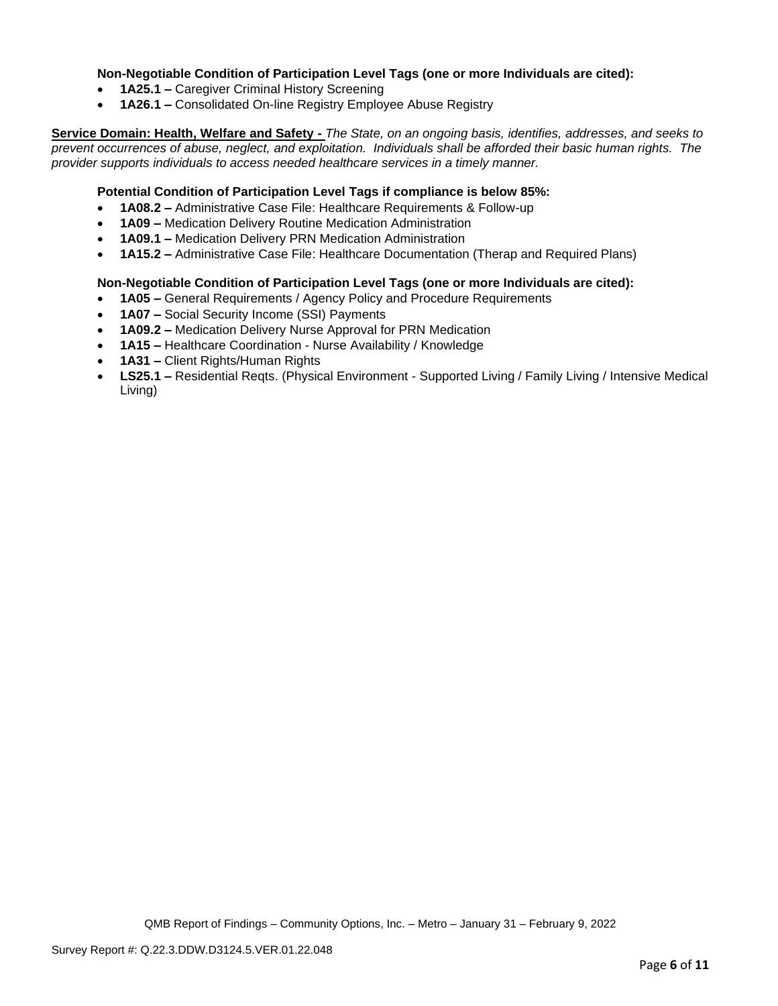### **Non-Negotiable Condition of Participation Level Tags (one or more Individuals are cited):**

- **1A25.1 –** Caregiver Criminal History Screening
- **1A26.1 –** Consolidated On-line Registry Employee Abuse Registry

**Service Domain: Health, Welfare and Safety -** *The State, on an ongoing basis, identifies, addresses, and seeks to prevent occurrences of abuse, neglect, and exploitation. Individuals shall be afforded their basic human rights. The provider supports individuals to access needed healthcare services in a timely manner.*

### **Potential Condition of Participation Level Tags if compliance is below 85%:**

- **1A08.2 –** Administrative Case File: Healthcare Requirements & Follow-up
- **1A09 –** Medication Delivery Routine Medication Administration
- **1A09.1 –** Medication Delivery PRN Medication Administration
- **1A15.2 –** Administrative Case File: Healthcare Documentation (Therap and Required Plans)

### **Non-Negotiable Condition of Participation Level Tags (one or more Individuals are cited):**

- **1A05 –** General Requirements / Agency Policy and Procedure Requirements
- **1A07 –** Social Security Income (SSI) Payments
- **1A09.2 –** Medication Delivery Nurse Approval for PRN Medication
- **1A15 –** Healthcare Coordination Nurse Availability / Knowledge
- **1A31 –** Client Rights/Human Rights
- **LS25.1 –** Residential Reqts. (Physical Environment Supported Living / Family Living / Intensive Medical Living)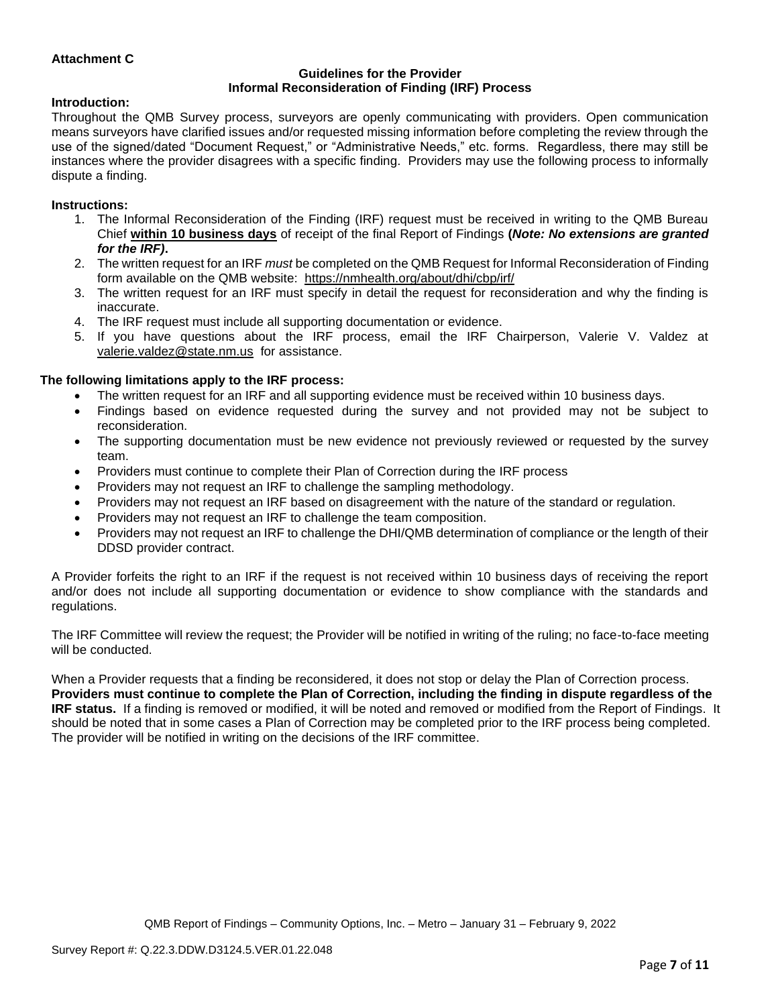## **Attachment C**

#### **Guidelines for the Provider Informal Reconsideration of Finding (IRF) Process**

#### **Introduction:**

Throughout the QMB Survey process, surveyors are openly communicating with providers. Open communication means surveyors have clarified issues and/or requested missing information before completing the review through the use of the signed/dated "Document Request," or "Administrative Needs," etc. forms. Regardless, there may still be instances where the provider disagrees with a specific finding. Providers may use the following process to informally dispute a finding.

#### **Instructions:**

- 1. The Informal Reconsideration of the Finding (IRF) request must be received in writing to the QMB Bureau Chief **within 10 business days** of receipt of the final Report of Findings **(***Note: No extensions are granted for the IRF)***.**
- 2. The written request for an IRF *must* be completed on the QMB Request for Informal Reconsideration of Finding form available on the QMB website: <https://nmhealth.org/about/dhi/cbp/irf/>
- 3. The written request for an IRF must specify in detail the request for reconsideration and why the finding is inaccurate.
- 4. The IRF request must include all supporting documentation or evidence.
- 5. If you have questions about the IRF process, email the IRF Chairperson, Valerie V. Valdez at [valerie.valdez@state.nm.us](mailto:valerie.valdez@state.nm.us) for assistance.

#### **The following limitations apply to the IRF process:**

- The written request for an IRF and all supporting evidence must be received within 10 business days.
- Findings based on evidence requested during the survey and not provided may not be subject to reconsideration.
- The supporting documentation must be new evidence not previously reviewed or requested by the survey team.
- Providers must continue to complete their Plan of Correction during the IRF process
- Providers may not request an IRF to challenge the sampling methodology.
- Providers may not request an IRF based on disagreement with the nature of the standard or regulation.
- Providers may not request an IRF to challenge the team composition.
- Providers may not request an IRF to challenge the DHI/QMB determination of compliance or the length of their DDSD provider contract.

A Provider forfeits the right to an IRF if the request is not received within 10 business days of receiving the report and/or does not include all supporting documentation or evidence to show compliance with the standards and regulations.

The IRF Committee will review the request; the Provider will be notified in writing of the ruling; no face-to-face meeting will be conducted.

When a Provider requests that a finding be reconsidered, it does not stop or delay the Plan of Correction process. **Providers must continue to complete the Plan of Correction, including the finding in dispute regardless of the IRF status.** If a finding is removed or modified, it will be noted and removed or modified from the Report of Findings. It should be noted that in some cases a Plan of Correction may be completed prior to the IRF process being completed. The provider will be notified in writing on the decisions of the IRF committee.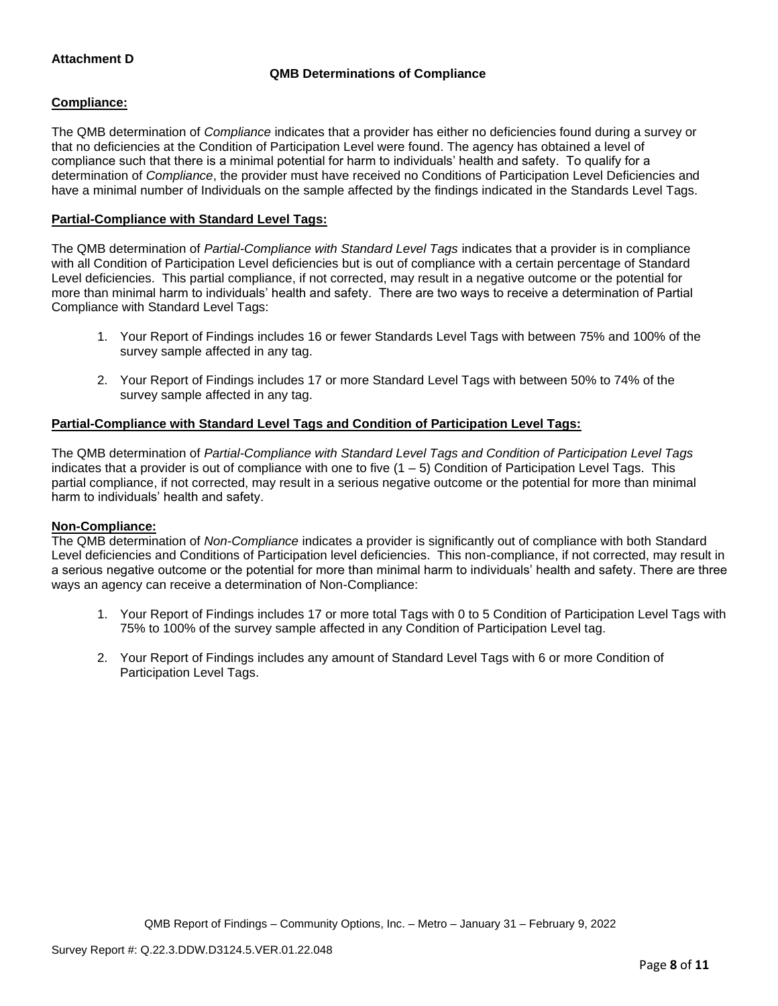## **Attachment D**

# **QMB Determinations of Compliance**

### **Compliance:**

The QMB determination of *Compliance* indicates that a provider has either no deficiencies found during a survey or that no deficiencies at the Condition of Participation Level were found. The agency has obtained a level of compliance such that there is a minimal potential for harm to individuals' health and safety. To qualify for a determination of *Compliance*, the provider must have received no Conditions of Participation Level Deficiencies and have a minimal number of Individuals on the sample affected by the findings indicated in the Standards Level Tags.

## **Partial-Compliance with Standard Level Tags:**

The QMB determination of *Partial-Compliance with Standard Level Tags* indicates that a provider is in compliance with all Condition of Participation Level deficiencies but is out of compliance with a certain percentage of Standard Level deficiencies. This partial compliance, if not corrected, may result in a negative outcome or the potential for more than minimal harm to individuals' health and safety. There are two ways to receive a determination of Partial Compliance with Standard Level Tags:

- 1. Your Report of Findings includes 16 or fewer Standards Level Tags with between 75% and 100% of the survey sample affected in any tag.
- 2. Your Report of Findings includes 17 or more Standard Level Tags with between 50% to 74% of the survey sample affected in any tag.

## **Partial-Compliance with Standard Level Tags and Condition of Participation Level Tags:**

The QMB determination of *Partial-Compliance with Standard Level Tags and Condition of Participation Level Tags*  indicates that a provider is out of compliance with one to five  $(1 - 5)$  Condition of Participation Level Tags. This partial compliance, if not corrected, may result in a serious negative outcome or the potential for more than minimal harm to individuals' health and safety.

### **Non-Compliance:**

The QMB determination of *Non-Compliance* indicates a provider is significantly out of compliance with both Standard Level deficiencies and Conditions of Participation level deficiencies. This non-compliance, if not corrected, may result in a serious negative outcome or the potential for more than minimal harm to individuals' health and safety. There are three ways an agency can receive a determination of Non-Compliance:

- 1. Your Report of Findings includes 17 or more total Tags with 0 to 5 Condition of Participation Level Tags with 75% to 100% of the survey sample affected in any Condition of Participation Level tag.
- 2. Your Report of Findings includes any amount of Standard Level Tags with 6 or more Condition of Participation Level Tags.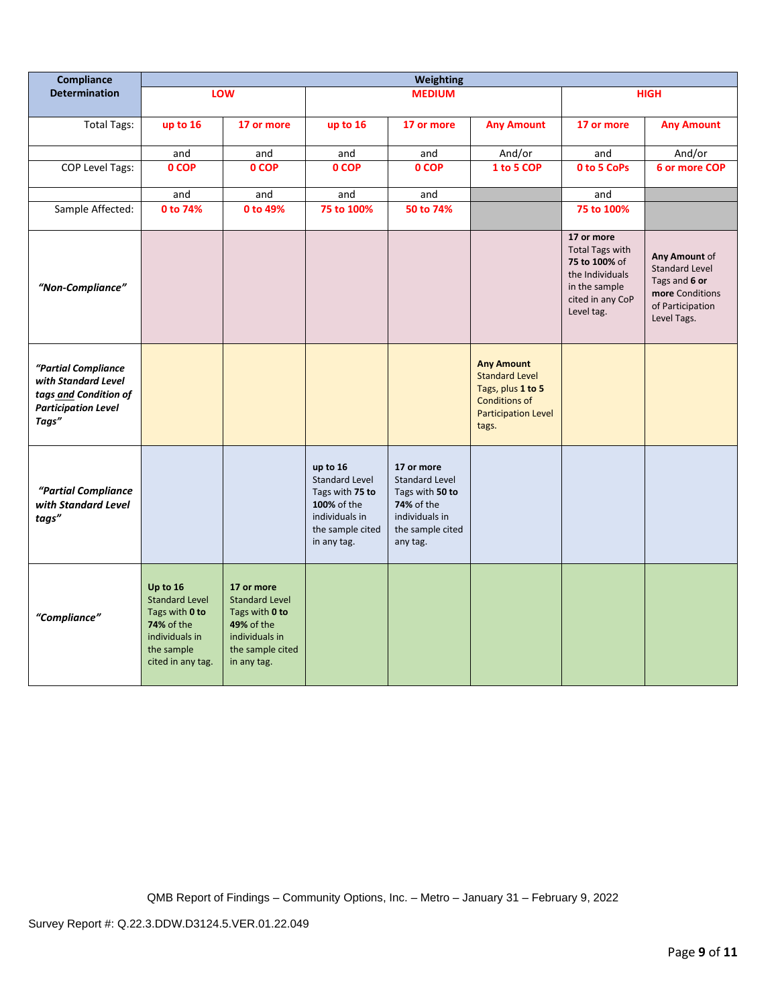| Compliance                                                                                                 | Weighting                                                                                                                     |                                                                                                                          |                                                                                                                          |                                                                                                                               |                                                                                                                                |                                                                                                                             |                                                                                                               |
|------------------------------------------------------------------------------------------------------------|-------------------------------------------------------------------------------------------------------------------------------|--------------------------------------------------------------------------------------------------------------------------|--------------------------------------------------------------------------------------------------------------------------|-------------------------------------------------------------------------------------------------------------------------------|--------------------------------------------------------------------------------------------------------------------------------|-----------------------------------------------------------------------------------------------------------------------------|---------------------------------------------------------------------------------------------------------------|
| <b>Determination</b>                                                                                       |                                                                                                                               | <b>LOW</b>                                                                                                               |                                                                                                                          | <b>MEDIUM</b>                                                                                                                 |                                                                                                                                | <b>HIGH</b>                                                                                                                 |                                                                                                               |
| <b>Total Tags:</b>                                                                                         | up to 16                                                                                                                      | 17 or more                                                                                                               | up to 16                                                                                                                 | 17 or more                                                                                                                    | <b>Any Amount</b>                                                                                                              | 17 or more                                                                                                                  | <b>Any Amount</b>                                                                                             |
|                                                                                                            | and                                                                                                                           | and                                                                                                                      | and                                                                                                                      | and                                                                                                                           | And/or                                                                                                                         | and                                                                                                                         | And/or                                                                                                        |
| COP Level Tags:                                                                                            | 0 COP                                                                                                                         | 0 COP                                                                                                                    | 0 COP                                                                                                                    | 0 COP                                                                                                                         | 1 to 5 COP                                                                                                                     | 0 to 5 CoPs                                                                                                                 | 6 or more COP                                                                                                 |
|                                                                                                            | and                                                                                                                           | and                                                                                                                      | and                                                                                                                      | and                                                                                                                           |                                                                                                                                | and                                                                                                                         |                                                                                                               |
| Sample Affected:                                                                                           | 0 to 74%                                                                                                                      | 0 to 49%                                                                                                                 | 75 to 100%                                                                                                               | 50 to 74%                                                                                                                     |                                                                                                                                | 75 to 100%                                                                                                                  |                                                                                                               |
| "Non-Compliance"                                                                                           |                                                                                                                               |                                                                                                                          |                                                                                                                          |                                                                                                                               |                                                                                                                                | 17 or more<br><b>Total Tags with</b><br>75 to 100% of<br>the Individuals<br>in the sample<br>cited in any CoP<br>Level tag. | Any Amount of<br><b>Standard Level</b><br>Tags and 6 or<br>more Conditions<br>of Participation<br>Level Tags. |
| "Partial Compliance<br>with Standard Level<br>tags and Condition of<br><b>Participation Level</b><br>Tags" |                                                                                                                               |                                                                                                                          |                                                                                                                          |                                                                                                                               | <b>Any Amount</b><br><b>Standard Level</b><br>Tags, plus 1 to 5<br><b>Conditions of</b><br><b>Participation Level</b><br>tags. |                                                                                                                             |                                                                                                               |
| "Partial Compliance<br>with Standard Level<br>tags"                                                        |                                                                                                                               |                                                                                                                          | up to 16<br><b>Standard Level</b><br>Tags with 75 to<br>100% of the<br>individuals in<br>the sample cited<br>in any tag. | 17 or more<br><b>Standard Level</b><br>Tags with 50 to<br><b>74%</b> of the<br>individuals in<br>the sample cited<br>any tag. |                                                                                                                                |                                                                                                                             |                                                                                                               |
| "Compliance"                                                                                               | Up to 16<br><b>Standard Level</b><br>Tags with 0 to<br><b>74% of the</b><br>individuals in<br>the sample<br>cited in any tag. | 17 or more<br><b>Standard Level</b><br>Tags with 0 to<br>49% of the<br>individuals in<br>the sample cited<br>in any tag. |                                                                                                                          |                                                                                                                               |                                                                                                                                |                                                                                                                             |                                                                                                               |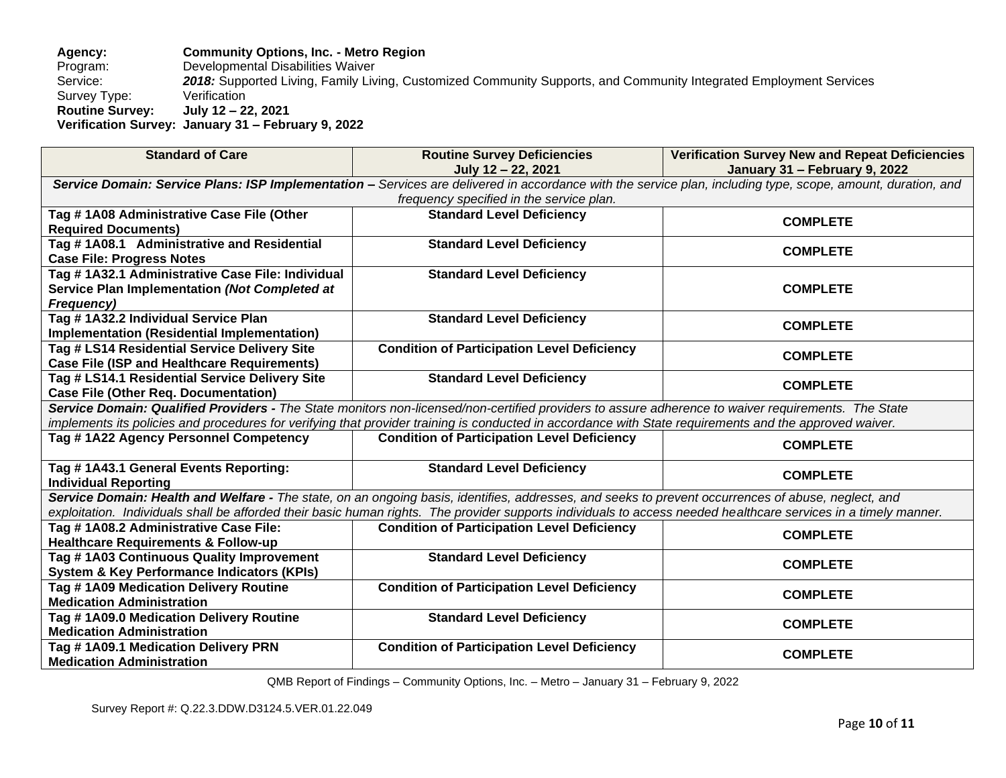## **Agency: Community Options, Inc. - Metro Region** Program: Developmental Disabilities Waiver<br>Service: 2018: Supported Living, Family Liv 2018: Supported Living, Family Living, Customized Community Supports, and Community Integrated Employment Services<br>Verification Survey Type: **Routine Survey: July 12 – 22, 2021 Verification Survey: January 31 – February 9, 2022**

| <b>Standard of Care</b>                                                                                                                             | <b>Routine Survey Deficiencies</b>                                                                                                                               | <b>Verification Survey New and Repeat Deficiencies</b> |  |  |
|-----------------------------------------------------------------------------------------------------------------------------------------------------|------------------------------------------------------------------------------------------------------------------------------------------------------------------|--------------------------------------------------------|--|--|
|                                                                                                                                                     | July 12 - 22, 2021                                                                                                                                               | January 31 - February 9, 2022                          |  |  |
|                                                                                                                                                     | Service Domain: Service Plans: ISP Implementation - Services are delivered in accordance with the service plan, including type, scope, amount, duration, and     |                                                        |  |  |
|                                                                                                                                                     | frequency specified in the service plan.                                                                                                                         |                                                        |  |  |
| Tag #1A08 Administrative Case File (Other                                                                                                           | <b>Standard Level Deficiency</b>                                                                                                                                 | <b>COMPLETE</b>                                        |  |  |
| <b>Required Documents)</b>                                                                                                                          |                                                                                                                                                                  |                                                        |  |  |
| Tag #1A08.1 Administrative and Residential                                                                                                          | <b>Standard Level Deficiency</b>                                                                                                                                 | <b>COMPLETE</b>                                        |  |  |
| <b>Case File: Progress Notes</b>                                                                                                                    |                                                                                                                                                                  |                                                        |  |  |
| Tag # 1A32.1 Administrative Case File: Individual                                                                                                   | <b>Standard Level Deficiency</b>                                                                                                                                 |                                                        |  |  |
| Service Plan Implementation (Not Completed at                                                                                                       |                                                                                                                                                                  | <b>COMPLETE</b>                                        |  |  |
| Frequency)                                                                                                                                          |                                                                                                                                                                  |                                                        |  |  |
| Tag #1A32.2 Individual Service Plan                                                                                                                 | <b>Standard Level Deficiency</b>                                                                                                                                 | <b>COMPLETE</b>                                        |  |  |
| Implementation (Residential Implementation)                                                                                                         |                                                                                                                                                                  |                                                        |  |  |
| Tag # LS14 Residential Service Delivery Site                                                                                                        | <b>Condition of Participation Level Deficiency</b>                                                                                                               | <b>COMPLETE</b>                                        |  |  |
| <b>Case File (ISP and Healthcare Requirements)</b>                                                                                                  |                                                                                                                                                                  |                                                        |  |  |
| Tag # LS14.1 Residential Service Delivery Site                                                                                                      | <b>Standard Level Deficiency</b>                                                                                                                                 | <b>COMPLETE</b>                                        |  |  |
| <b>Case File (Other Req. Documentation)</b>                                                                                                         |                                                                                                                                                                  |                                                        |  |  |
|                                                                                                                                                     | Service Domain: Qualified Providers - The State monitors non-licensed/non-certified providers to assure adherence to waiver requirements. The State              |                                                        |  |  |
|                                                                                                                                                     | implements its policies and procedures for verifying that provider training is conducted in accordance with State requirements and the approved waiver.          |                                                        |  |  |
| Tag #1A22 Agency Personnel Competency                                                                                                               | <b>Condition of Participation Level Deficiency</b>                                                                                                               | <b>COMPLETE</b>                                        |  |  |
|                                                                                                                                                     |                                                                                                                                                                  |                                                        |  |  |
| Tag # 1A43.1 General Events Reporting:                                                                                                              | <b>Standard Level Deficiency</b>                                                                                                                                 | <b>COMPLETE</b>                                        |  |  |
| <b>Individual Reporting</b>                                                                                                                         |                                                                                                                                                                  |                                                        |  |  |
| Service Domain: Health and Welfare - The state, on an ongoing basis, identifies, addresses, and seeks to prevent occurrences of abuse, neglect, and |                                                                                                                                                                  |                                                        |  |  |
|                                                                                                                                                     | exploitation. Individuals shall be afforded their basic human rights. The provider supports individuals to access needed healthcare services in a timely manner. |                                                        |  |  |
| Tag #1A08.2 Administrative Case File:                                                                                                               | <b>Condition of Participation Level Deficiency</b>                                                                                                               | <b>COMPLETE</b>                                        |  |  |
| <b>Healthcare Requirements &amp; Follow-up</b>                                                                                                      |                                                                                                                                                                  |                                                        |  |  |
| Tag #1A03 Continuous Quality Improvement                                                                                                            | <b>Standard Level Deficiency</b>                                                                                                                                 | <b>COMPLETE</b>                                        |  |  |
| <b>System &amp; Key Performance Indicators (KPIs)</b>                                                                                               |                                                                                                                                                                  |                                                        |  |  |
| Tag #1A09 Medication Delivery Routine                                                                                                               | <b>Condition of Participation Level Deficiency</b>                                                                                                               | <b>COMPLETE</b>                                        |  |  |
| <b>Medication Administration</b>                                                                                                                    |                                                                                                                                                                  |                                                        |  |  |
| Tag #1A09.0 Medication Delivery Routine                                                                                                             | <b>Standard Level Deficiency</b>                                                                                                                                 | <b>COMPLETE</b>                                        |  |  |
| <b>Medication Administration</b>                                                                                                                    |                                                                                                                                                                  |                                                        |  |  |
| Tag #1A09.1 Medication Delivery PRN                                                                                                                 | <b>Condition of Participation Level Deficiency</b>                                                                                                               | <b>COMPLETE</b>                                        |  |  |
| <b>Medication Administration</b>                                                                                                                    |                                                                                                                                                                  |                                                        |  |  |